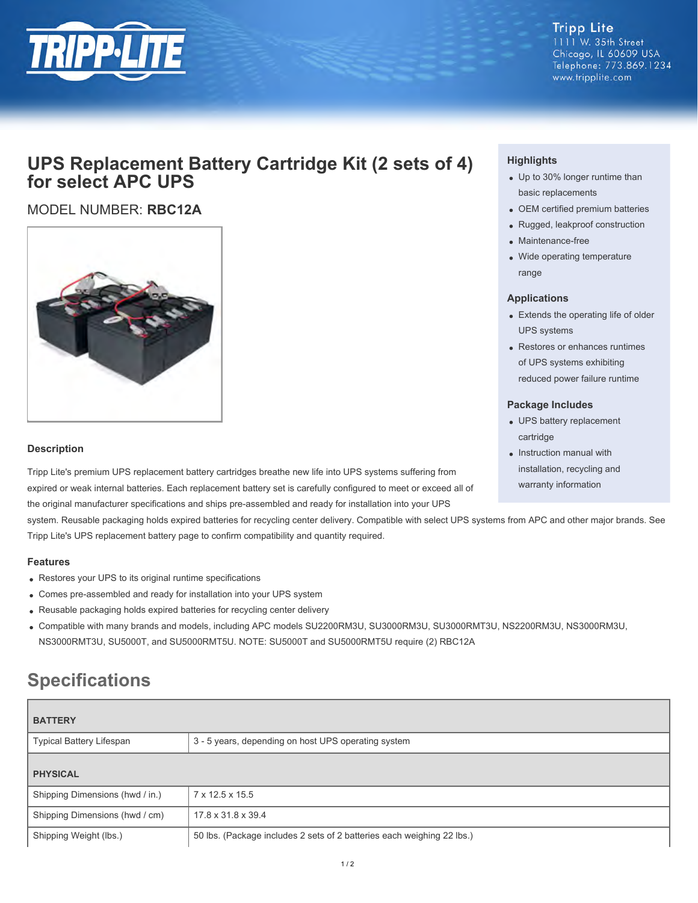

#### **Tripp Lite** 1111 W. 35th Street Chicago, IL 60609 USA Telephone: 773.869.1234

www.tripplite.com

# **UPS Replacement Battery Cartridge Kit (2 sets of 4) for select APC UPS**

## MODEL NUMBER: **RBC12A**



#### **Description**

Tripp Lite's premium UPS replacement battery cartridges breathe new life into UPS systems suffering from expired or weak internal batteries. Each replacement battery set is carefully configured to meet or exceed all of the original manufacturer specifications and ships pre-assembled and ready for installation into your UPS

system. Reusable packaging holds expired batteries for recycling center delivery. Compatible with select UPS systems from APC and other major brands. See Tripp Lite's UPS replacement battery page to confirm compatibility and quantity required.

#### **Features**

- Restores your UPS to its original runtime specifications
- Comes pre-assembled and ready for installation into your UPS system
- Reusable packaging holds expired batteries for recycling center delivery
- Compatible with many brands and models, including APC models SU2200RM3U, SU3000RM3U, SU3000RMT3U, NS2200RM3U, NS3000RM3U, NS3000RMT3U, SU5000T, and SU5000RMT5U. NOTE: SU5000T and SU5000RMT5U require (2) RBC12A

# **Specifications**

| <b>BATTERY</b>                  |                                                                        |  |
|---------------------------------|------------------------------------------------------------------------|--|
| <b>Typical Battery Lifespan</b> | 3 - 5 years, depending on host UPS operating system                    |  |
| <b>PHYSICAL</b>                 |                                                                        |  |
| Shipping Dimensions (hwd / in.) | 7 x 12.5 x 15.5                                                        |  |
| Shipping Dimensions (hwd / cm)  | 17.8 x 31.8 x 39.4                                                     |  |
| Shipping Weight (lbs.)          | 50 lbs. (Package includes 2 sets of 2 batteries each weighing 22 lbs.) |  |

### **Highlights**

- Up to 30% longer runtime than basic replacements
- OEM certified premium batteries
- Rugged, leakproof construction
- Maintenance-free
- Wide operating temperature range

#### **Applications**

- Extends the operating life of older UPS systems
- Restores or enhances runtimes of UPS systems exhibiting reduced power failure runtime

#### **Package Includes**

- UPS battery replacement cartridge
- Instruction manual with installation, recycling and warranty information